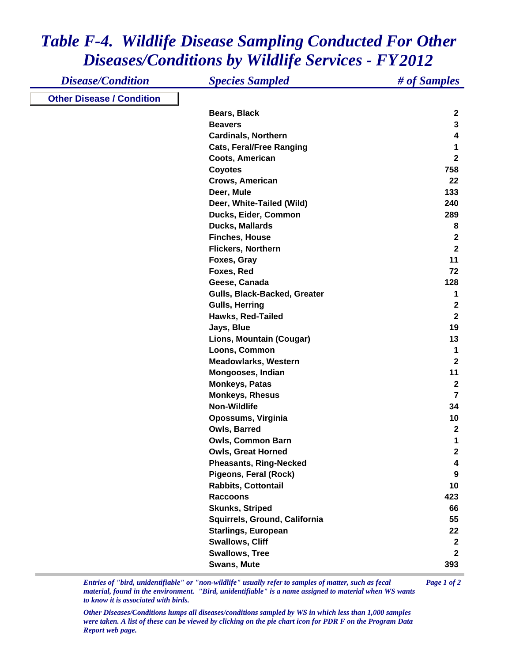## *Table F-4. Wildlife Disease Sampling Conducted For Other Diseases/Conditions by Wildlife Services - FY 2012*

| <b>Disease/Condition</b>         | <b>Species Sampled</b>          | # of Samples     |
|----------------------------------|---------------------------------|------------------|
| <b>Other Disease / Condition</b> |                                 |                  |
|                                  | Bears, Black                    | $\mathbf{2}$     |
|                                  | <b>Beavers</b>                  | $\mathbf 3$      |
|                                  | <b>Cardinals, Northern</b>      | 4                |
|                                  | <b>Cats, Feral/Free Ranging</b> | 1                |
|                                  | Coots, American                 | $\mathbf{2}$     |
|                                  | <b>Coyotes</b>                  | 758              |
|                                  | Crows, American                 | 22               |
|                                  | Deer, Mule                      | 133              |
|                                  | Deer, White-Tailed (Wild)       | 240              |
|                                  | Ducks, Eider, Common            | 289              |
|                                  | Ducks, Mallards                 | 8                |
|                                  | <b>Finches, House</b>           | $\boldsymbol{2}$ |
|                                  | <b>Flickers, Northern</b>       | $\overline{2}$   |
|                                  | Foxes, Gray                     | 11               |
|                                  | Foxes, Red                      | 72               |
|                                  | Geese, Canada                   | 128              |
|                                  | Gulls, Black-Backed, Greater    | 1                |
|                                  | <b>Gulls, Herring</b>           | $\boldsymbol{2}$ |
|                                  | Hawks, Red-Tailed               | $\mathbf{2}$     |
|                                  | Jays, Blue                      | 19               |
|                                  | Lions, Mountain (Cougar)        | 13               |
|                                  | Loons, Common                   | 1                |
|                                  | <b>Meadowlarks, Western</b>     | $\overline{2}$   |
|                                  | Mongooses, Indian               | 11               |
|                                  | <b>Monkeys, Patas</b>           | $\mathbf{2}$     |
|                                  | <b>Monkeys, Rhesus</b>          | $\overline{7}$   |
|                                  | <b>Non-Wildlife</b>             | 34               |
|                                  | Opossums, Virginia              | 10               |
|                                  | Owls, Barred                    | $\mathbf{2}$     |
|                                  | <b>Owls, Common Barn</b>        | 1                |
|                                  | <b>Owls, Great Horned</b>       | $\mathbf 2$      |
|                                  | <b>Pheasants, Ring-Necked</b>   | 4                |
|                                  | Pigeons, Feral (Rock)           | 9                |
|                                  | <b>Rabbits, Cottontail</b>      | 10               |
|                                  | <b>Raccoons</b>                 | 423              |
|                                  | <b>Skunks, Striped</b>          | 66               |
|                                  | Squirrels, Ground, California   | 55               |
|                                  | <b>Starlings, European</b>      | 22               |
|                                  | <b>Swallows, Cliff</b>          | $\mathbf{2}$     |
|                                  | <b>Swallows, Tree</b>           | $\overline{2}$   |
|                                  | <b>Swans, Mute</b>              | 393              |

*Entries of "bird, unidentifiable" or "non-wildlife" usually refer to samples of matter, such as fecal Page 1 of 2 material, found in the environment. "Bird, unidentifiable" is a name assigned to material when WS wants to know it is associated with birds.* 

*Other Diseases/Conditions lumps all diseases/conditions sampled by WS in which less than 1,000 samples were taken. A list of these can be viewed by clicking on the pie chart icon for PDR F on the Program Data Report web page.*